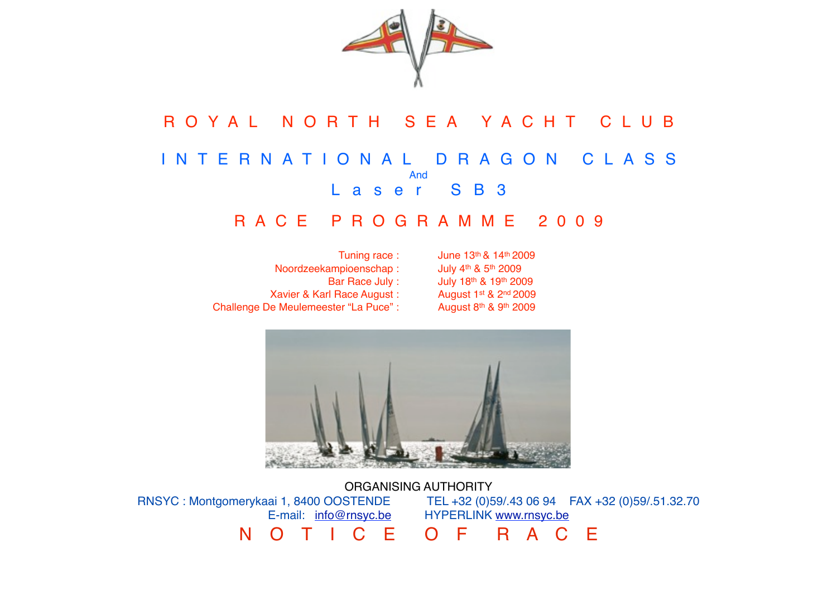

# R O Y A L N O R T H S E A Y A C H T C L U B I N T E R N A T I O N A L D R A G O N C L A S S And Laser SB3

## R A C E P R O G R A M M E 2 0 0 9

| Tuning race:                          | June 13  |
|---------------------------------------|----------|
| Noordzeekampioenschap:                | July 4th |
| Bar Race July:                        | July 18t |
| Xavier & Karl Race August:            | August   |
| Challenge De Meulemeester "La Puce" : | August   |

3<sup>th</sup> & 14<sup>th</sup> 2009 & 5<sup>th</sup> 2009 3<sup>th</sup> & 19<sup>th</sup> 2009 1st & 2nd 2009 8th & 9th 2009



ORGANISING AUTHORITY RNSYC : Montgomerykaai 1, 8400 OOSTENDE TEL +32 (0)59/.43 06 94 FAX +32 (0)59/.51.32.70 E-mail: [info@rnsyc.be](mailto:info@rnsyc.be) HYPERLINK [www.rnsyc.be](http://www.rnsyc.be) N O T I C E O F R A C E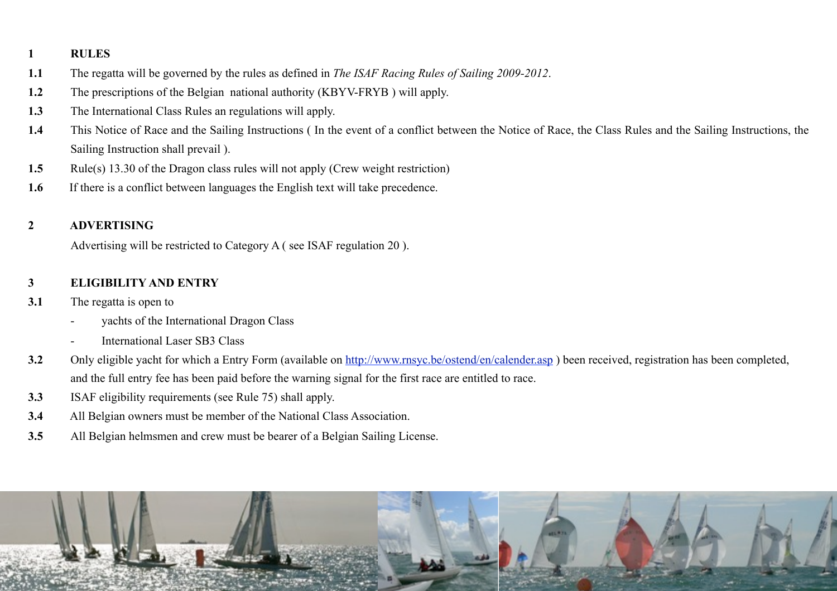#### **1 RULES**

- **1.1** The regatta will be governed by the rules as defined in *The ISAF Racing Rules of Sailing 2009-2012*.
- **1.2** The prescriptions of the Belgian national authority (KBYV-FRYB ) will apply.
- **1.3** The International Class Rules an regulations will apply.
- **1.4** This Notice of Race and the Sailing Instructions ( In the event of a conflict between the Notice of Race, the Class Rules and the Sailing Instructions, the Sailing Instruction shall prevail ).
- **1.5** Rule(s) 13.30 of the Dragon class rules will not apply (Crew weight restriction)
- **1.6** If there is a conflict between languages the English text will take precedence.

## **2 ADVERTISING**

Advertising will be restricted to Category A ( see ISAF regulation 20 ).

## **3 ELIGIBILITY AND ENTRY**

- **3.1** The regatta is open to
	- yachts of the International Dragon Class
	- International Laser SB3 Class
- **3.2** Only eligible yacht for which a Entry Form (available on [http://www.rnsyc.be/ostend/en/calender.asp](http://www.rnsyc.be/ostend/en/calender.asp)has) ) been received, registration has been completed, and the full entry fee has been paid before the warning signal for the first race are entitled to race.
- **3.3** ISAF eligibility requirements (see Rule 75) shall apply.
- **3.4** All Belgian owners must be member of the National Class Association.
- **3.5** All Belgian helmsmen and crew must be bearer of a Belgian Sailing License.

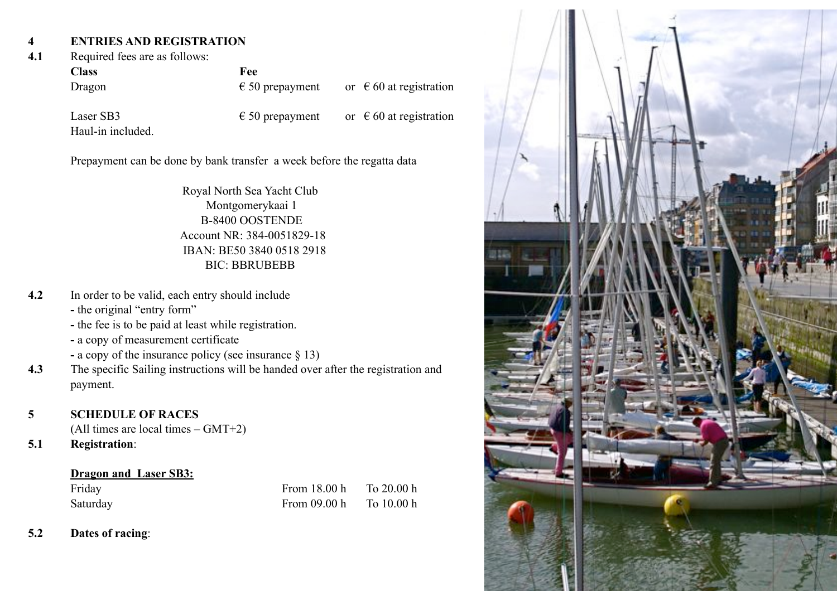## **4 ENTRIES AND REGISTRATION**

#### **4.1** Required fees are as follows:

| <b>Class</b> | Fee                      |                                  |
|--------------|--------------------------|----------------------------------|
| Dragon       | $\epsilon$ 50 prepayment | or $\epsilon$ 60 at registration |
|              |                          |                                  |

Laser SB3  $\epsilon$  50 prepayment or  $\epsilon$  60 at registration Haul-in included.

Prepayment can be done by bank transfer a week before the regatta data

Royal North Sea Yacht Club Montgomerykaai 1 B-8400 OOSTENDE Account NR: 384-0051829-18 IBAN: BE50 3840 0518 2918 BIC: BBRUBEBB

- **4.2** In order to be valid, each entry should include
	- the original "entry form"
	- the fee is to be paid at least while registration.
	- **-** a copy of measurement certificate
	- **-** a copy of the insurance policy (see insurance § 13)
- **4.3** The specific Sailing instructions will be handed over after the registration and payment.
- **5 SCHEDULE OF RACES**

(All times are local times – GMT+2)

**5.1 Registration**:

## **Dragon and Laser SB3:**

Saturday

| Friday   | From $18.00h$  | To 20.00 h |
|----------|----------------|------------|
| Saturday | From $09.00 h$ | To 10.00 h |

**5.2 Dates of racing**:

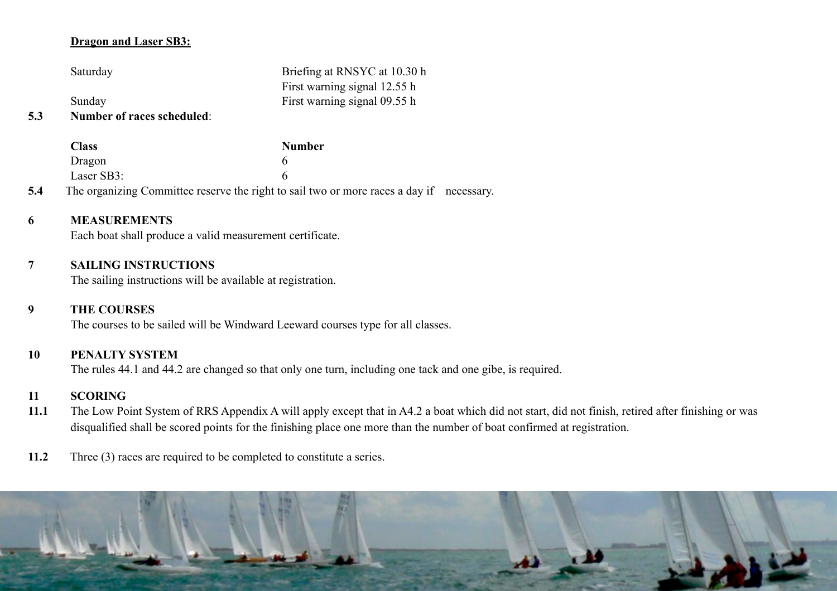#### **Dragon and Laser SB3:**

Saturday Briefing at RNSYC at 10.30 h

Sunday First warning signal 09.55 h

#### **5.3 Number of races scheduled**:

|     | Class                                                                                    | <b>Number</b> |  |
|-----|------------------------------------------------------------------------------------------|---------------|--|
|     | Dragon                                                                                   |               |  |
|     | Laser SB3:                                                                               |               |  |
| 5.4 | The organizing Committee reserve the right to sail two or more races a day if necessary. |               |  |

**6 MEASUREMENTS**

Each boat shall produce a valid measurement certificate.

## **7 SAILING INSTRUCTIONS**

The sailing instructions will be available at registration.

### **9 THE COURSES**

The courses to be sailed will be Windward Leeward courses type for all classes.

#### **10 PENALTY SYSTEM**

The rules 44.1 and 44.2 are changed so that only one turn, including one tack and one gibe, is required.

First warning signal 12.55 h

#### **11 SCORING**

- **11.1** The Low Point System of RRS Appendix A will apply except that in A4.2 a boat which did not start, did not finish, retired after finishing or was disqualified shall be scored points for the finishing place one more than the number of boat confirmed at registration.
- **11.2** Three (3) races are required to be completed to constitute a series.

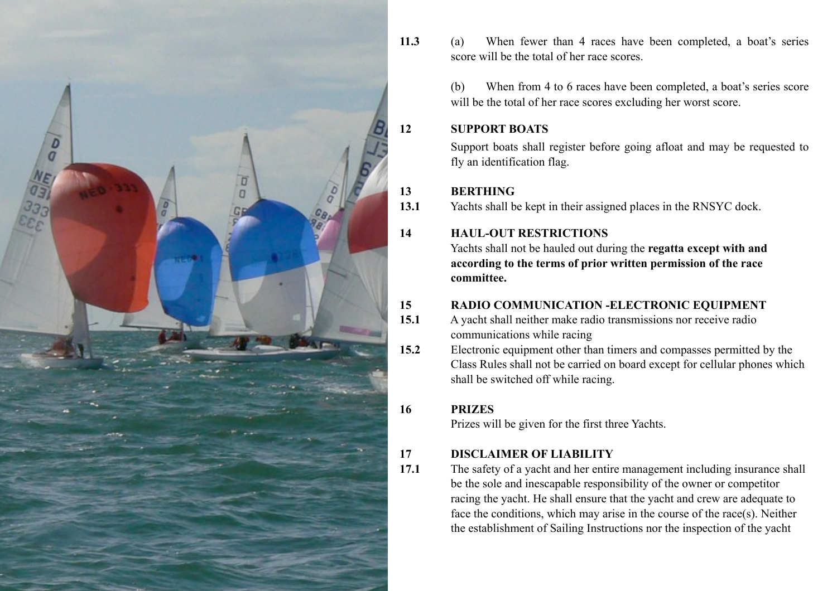

**11.3** (a) When fewer than 4 races have been completed, a boat's series score will be the total of her race scores.

> (b) When from 4 to 6 races have been completed, a boat's series score will be the total of her race scores excluding her worst score.

## **12 SUPPORT BOATS**

Support boats shall register before going afloat and may be requested to fly an identification flag.

## **13 BERTHING**

**13.1** Yachts shall be kept in their assigned places in the RNSYC dock.

## **14 HAUL-OUT RESTRICTIONS**

Yachts shall not be hauled out during the **regatta except with and according to the terms of prior written permission of the race committee.** 

## **15 RADIO COMMUNICATION -ELECTRONIC EQUIPMENT**

- **15.1** A yacht shall neither make radio transmissions nor receive radio communications while racing
- **15.2** Electronic equipment other than timers and compasses permitted by the Class Rules shall not be carried on board except for cellular phones which shall be switched off while racing.

## **16 PRIZES**

Prizes will be given for the first three Yachts.

## **17 DISCLAIMER OF LIABILITY**

**17.1** The safety of a yacht and her entire management including insurance shall be the sole and inescapable responsibility of the owner or competitor racing the yacht. He shall ensure that the yacht and crew are adequate to face the conditions, which may arise in the course of the race(s). Neither the establishment of Sailing Instructions nor the inspection of the yacht